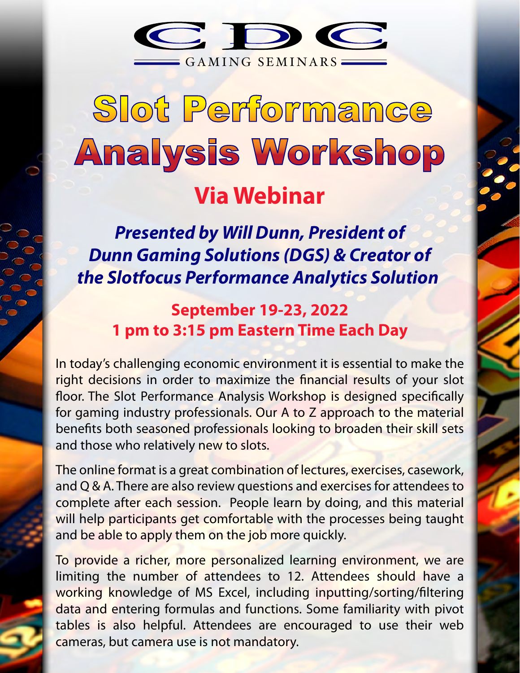

# Slot Performance **Analysis Workshop**

# **Via Webinar**

*Presented by Will Dunn, President of Dunn Gaming Solutions (DGS) & Creator of the Slotfocus Performance Analytics Solution* 

**September 19-23, 2022 1 pm to 3:15 pm Eastern Time Each Day**

In today's challenging economic environment it is essential to make the right decisions in order to maximize the financial results of your slot floor. The Slot Performance Analysis Workshop is designed specifically for gaming industry professionals. Our A to Z approach to the material benefits both seasoned professionals looking to broaden their skill sets and those who relatively new to slots.

The online format is a great combination of lectures, exercises, casework, and Q & A. There are also review questions and exercises for attendees to complete after each session. People learn by doing, and this material will help participants get comfortable with the processes being taught and be able to apply them on the job more quickly.

To provide a richer, more personalized learning environment, we are limiting the number of attendees to 12. Attendees should have a working knowledge of MS Excel, including inputting/sorting/filtering data and entering formulas and functions. Some familiarity with pivot tables is also helpful. Attendees are encouraged to use their web cameras, but camera use is not mandatory.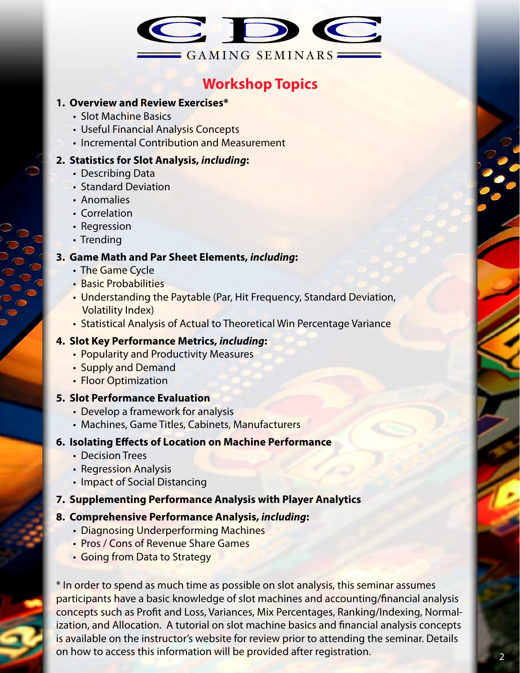

# **Workshop Topics**

#### **1. Overview and Review Exercises\***

- Slot Machine Basics
- Useful Financial Analysis Concepts
- Incremental Contribution and Measurement

#### **2. Statistics for Slot Analysis,** *including***:**

- Describing Data
- Standard Deviation
- Anomalies
- Correlation
- Regression
- Trending

#### **3. Game Math and Par Sheet Elements,** *including***:**

- The Game Cycle
- Basic Probabilities
- Understanding the Paytable (Par, Hit Frequency, Standard Deviation, Volatility Index)
- Statistical Analysis of Actual to Theoretical Win Percentage Variance

#### **4. Slot Key Performance Metrics,** *including***:**

- Popularity and Productivity Measures
- Supply and Demand
- Floor Optimization

#### **5. Slot Performance Evaluation**

- Develop a framework for analysis
- Machines, Game Titles, Cabinets, Manufacturers

#### **6. Isolating Effects of Location on Machine Performance**

- Decision Trees
- Regression Analysis
- Impact of Social Distancing

#### **7. Supplementing Performance Analysis with Player Analytics**

#### **8. Comprehensive Performance Analysis,** *including***:**

- Diagnosing Underperforming Machines
- Pros / Cons of Revenue Share Games
- Going from Data to Strategy

\* In order to spend as much time as possible on slot analysis, this seminar assumes participants have a basic knowledge of slot machines and accounting/financial analysis concepts such as Profit and Loss, Variances, Mix Percentages, Ranking/Indexing, Normalization, and Allocation. A tutorial on slot machine basics and financial analysis concepts is available on the instructor's website for review prior to attending the seminar. Details on how to access this information will be provided after registration.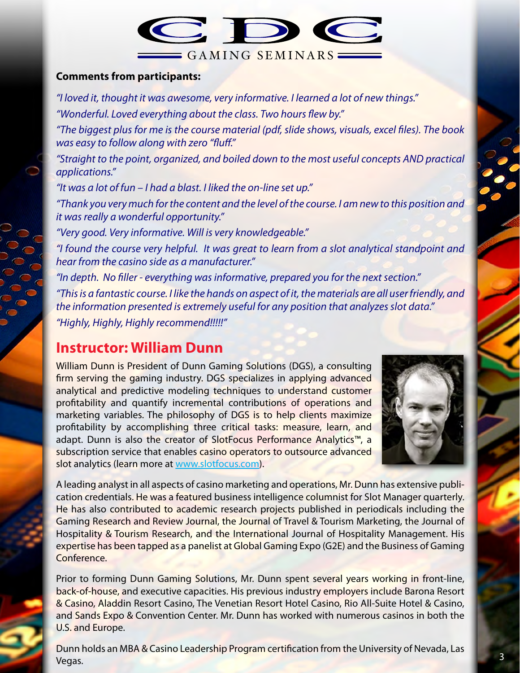

#### **Comments from participants:**

*"I loved it, thought it was awesome, very informative. I learned a lot of new things."* "Wonderful. Loved everything about the class. Two hours flew by."

"The biggest plus for me is the course material (pdf, slide shows, visuals, excel files). The book *was easy to follow along with zero "fluff."* 

*"Straight to the point, organized, and boiled down to the most useful concepts AND practical applications."*

*"It was a lot of fun – I had a blast. I liked the on-line set up."*

*"Thank you very much for the content and the level of the course. I am new to this position and it was really a wonderful opportunity."*

*"Very good. Very informative. Will is very knowledgeable."*

*"I found the course very helpful. It was great to learn from a slot analytical standpoint and hear from the casino side as a manufacturer."*

*"In depth. No ller - everything was informative, prepared you for the next section." "This is a fantastic course. I like the hands on aspect of it, the materials are all user friendly, and the information presented is extremely useful for any position that analyzes slot data." "Highly, Highly, Highly recommend!!!!!"*

# **Instructor: William Dunn**

William Dunn is President of Dunn Gaming Solutions (DGS), a consulting firm serving the gaming industry. DGS specializes in applying advanced analytical and predictive modeling techniques to understand customer profitability and quantify incremental contributions of operations and marketing variables. The philosophy of DGS is to help clients maximize profitability by accomplishing three critical tasks: measure, learn, and adapt. Dunn is also the creator of SlotFocus Performance Analytics™, a subscription service that enables casino operators to outsource advanced slot analytics (learn more at www.slotfocus.com).



A leading analyst in all aspects of casino marketing and operations, Mr. Dunn has extensive publication credentials. He was a featured business intelligence columnist for Slot Manager quarterly. He has also contributed to academic research projects published in periodicals including the Gaming Research and Review Journal, the Journal of Travel & Tourism Marketing, the Journal of Hospitality & Tourism Research, and the International Journal of Hospitality Management. His expertise has been tapped as a panelist at Global Gaming Expo (G2E) and the Business of Gaming Conference.

Prior to forming Dunn Gaming Solutions, Mr. Dunn spent several years working in front-line, back-of-house, and executive capacities. His previous industry employers include Barona Resort & Casino, Aladdin Resort Casino, The Venetian Resort Hotel Casino, Rio All-Suite Hotel & Casino, and Sands Expo & Convention Center. Mr. Dunn has worked with numerous casinos in both the U.S. and Europe.

Dunn holds an MBA & Casino Leadership Program certification from the University of Nevada, Las Vegas. 3